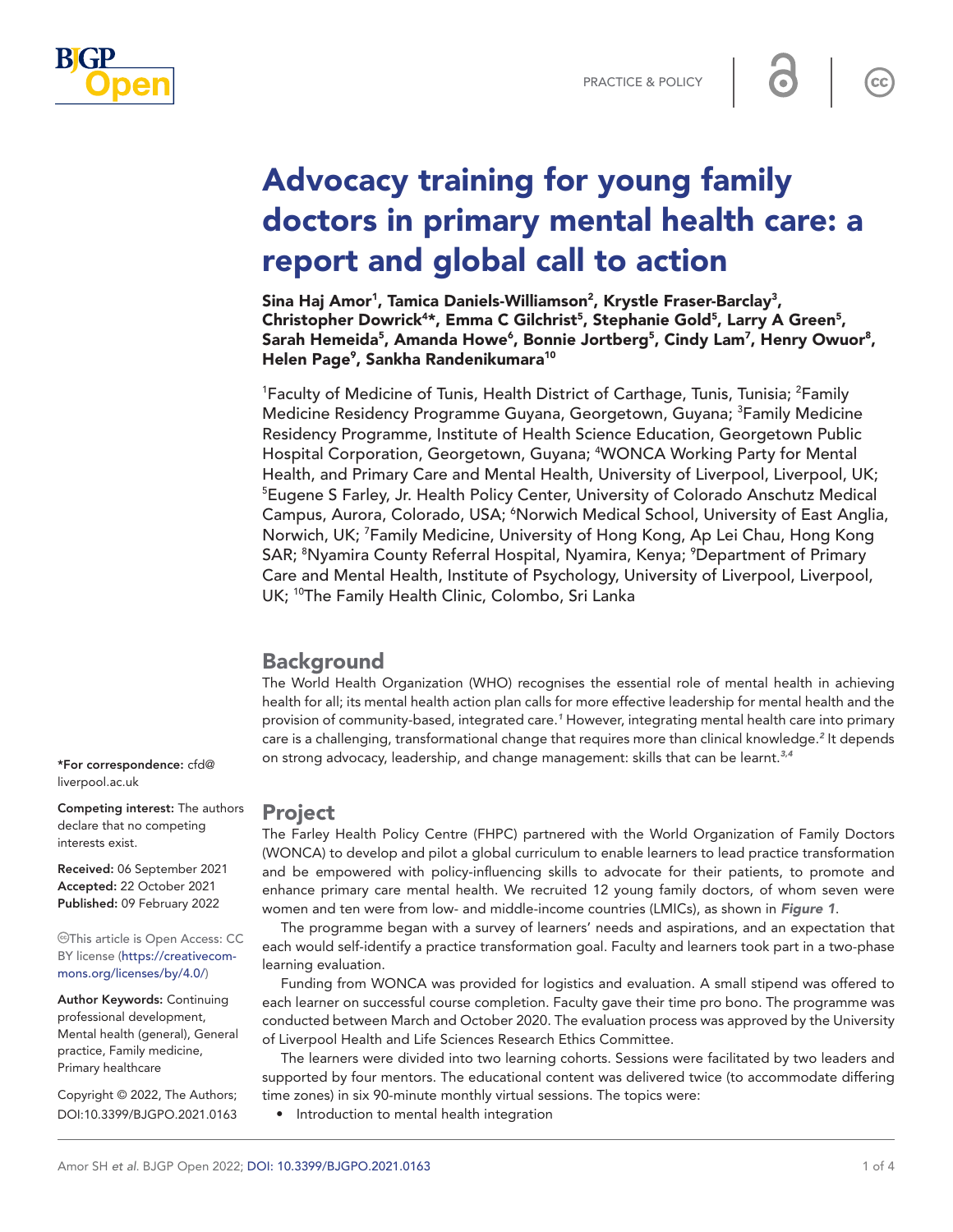



# Advocacy training for young family doctors in primary mental health care: a report and global call to action

Sina Haj Amor<sup>1</sup>, Tamica Daniels-Williamson<sup>2</sup>, Krystle Fraser-Barclay<sup>3</sup>, Christopher Dowrick<sup>4\*</sup>, Emma C Gilchrist<sup>5</sup>, Stephanie Gold<sup>5</sup>, Larry A Green<sup>5</sup>, Sarah Hemeida<sup>5</sup>, Amanda Howe<sup>6</sup>, Bonnie Jortberg<sup>5</sup>, Cindy Lam<sup>7</sup>, Henry Owuor<sup>8</sup>, Helen Page<sup>9</sup>, Sankha Randenikumara<sup>10</sup>

<sup>1</sup>Faculty of Medicine of Tunis, Health District of Carthage, Tunis, Tunisia; <sup>2</sup>Family Medicine Residency Programme Guyana, Georgetown, Guyana; <sup>3</sup>Family Medicine Residency Programme, Institute of Health Science Education, Georgetown Public Hospital Corporation, Georgetown, Guyana; <sup>4</sup>WONCA Working Party for Mental Health, and Primary Care and Mental Health, University of Liverpool, Liverpool, UK; 5 Eugene S Farley, Jr. Health Policy Center, University of Colorado Anschutz Medical Campus, Aurora, Colorado, USA; <sup>6</sup>Norwich Medical School, University of East Anglia, Norwich, UK; <sup>7</sup>Family Medicine, University of Hong Kong, Ap Lei Chau, Hong Kong SAR; <sup>8</sup>Nyamira County Referral Hospital, Nyamira, Kenya; <sup>9</sup>Department of Primary Care and Mental Health, Institute of Psychology, University of Liverpool, Liverpool, UK; <sup>10</sup>The Family Health Clinic, Colombo, Sri Lanka

## Background

The World Health Organization (WHO) recognises the essential role of mental health in achieving health for all; its mental health action plan calls for more effective leadership for mental health and the provision of community-based, integrated care.*[1](#page-3-0)* However, integrating mental health care into primary care is a challenging, transformational change that requires more than clinical knowledge.<sup>[2](#page-3-1)</sup> It depends on strong advocacy, leadership, and change management: skills that can be learnt.*[3,4](#page-3-2)*

## Project

The Farley Health Policy Centre (FHPC) partnered with the World Organization of Family Doctors (WONCA) to develop and pilot a global curriculum to enable learners to lead practice transformation and be empowered with policy-influencing skills to advocate for their patients, to promote and enhance primary care mental health. We recruited 12 young family doctors, of whom seven were women and ten were from low- and middle-income countries (LMICs), as shown in *[Figure 1](#page-1-0)*.

The programme began with a survey of learners' needs and aspirations, and an expectation that each would self-identify a practice transformation goal. Faculty and learners took part in a two-phase learning evaluation.

Funding from WONCA was provided for logistics and evaluation. A small stipend was offered to each learner on successful course completion. Faculty gave their time pro bono. The programme was conducted between March and October 2020. The evaluation process was approved by the University of Liverpool Health and Life Sciences Research Ethics Committee.

The learners were divided into two learning cohorts. Sessions were facilitated by two leaders and supported by four mentors. The educational content was delivered twice (to accommodate differing time zones) in six 90-minute monthly virtual sessions. The topics were:

• Introduction to mental health integration

\*For correspondence: [cfd@](mailto:cfd@liverpool.ac.uk) [liverpool.ac.uk](mailto:cfd@liverpool.ac.uk)

Competing interest: The authors declare that no competing interests exist.

Received: 06 September 2021 Accepted: 22 October 2021 Published: 09 February 2022

This article is Open Access: CC BY license [\(https://creativecom](https://creativecommons.org/licenses/by/4.0/)[mons.org/licenses/by/4.0/\)](https://creativecommons.org/licenses/by/4.0/)

Author Keywords: Continuing professional development, Mental health (general), General practice, Family medicine, Primary healthcare

Copyright © 2022, The Authors; DOI:10.3399/BJGPO.2021.0163

 $cc$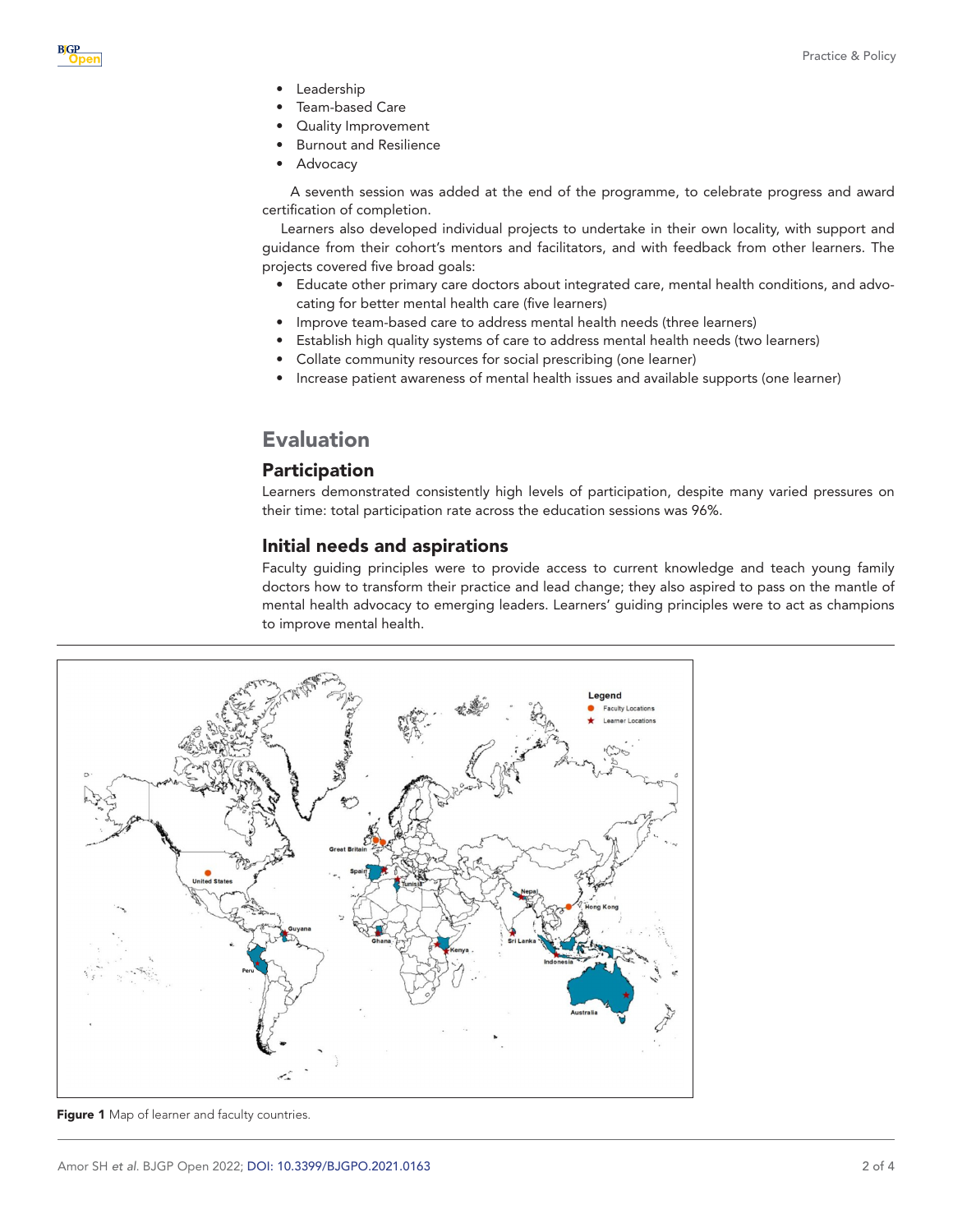- **Leadership**
- Team-based Care
- Quality Improvement
- Burnout and Resilience
- **Advocacy**

A seventh session was added at the end of the programme, to celebrate progress and award certification of completion.

Learners also developed individual projects to undertake in their own locality, with support and guidance from their cohort's mentors and facilitators, and with feedback from other learners. The projects covered five broad goals:

- Educate other primary care doctors about integrated care, mental health conditions, and advocating for better mental health care (five learners)
- Improve team-based care to address mental health needs (three learners)
- Establish high quality systems of care to address mental health needs (two learners)
- Collate community resources for social prescribing (one learner)
- Increase patient awareness of mental health issues and available supports (one learner)

# Evaluation

## Participation

Learners demonstrated consistently high levels of participation, despite many varied pressures on their time: total participation rate across the education sessions was 96%.

## Initial needs and aspirations

Faculty guiding principles were to provide access to current knowledge and teach young family doctors how to transform their practice and lead change; they also aspired to pass on the mantle of mental health advocacy to emerging leaders. Learners' guiding principles were to act as champions to improve mental health.



<span id="page-1-0"></span>Figure 1 Map of learner and faculty countries.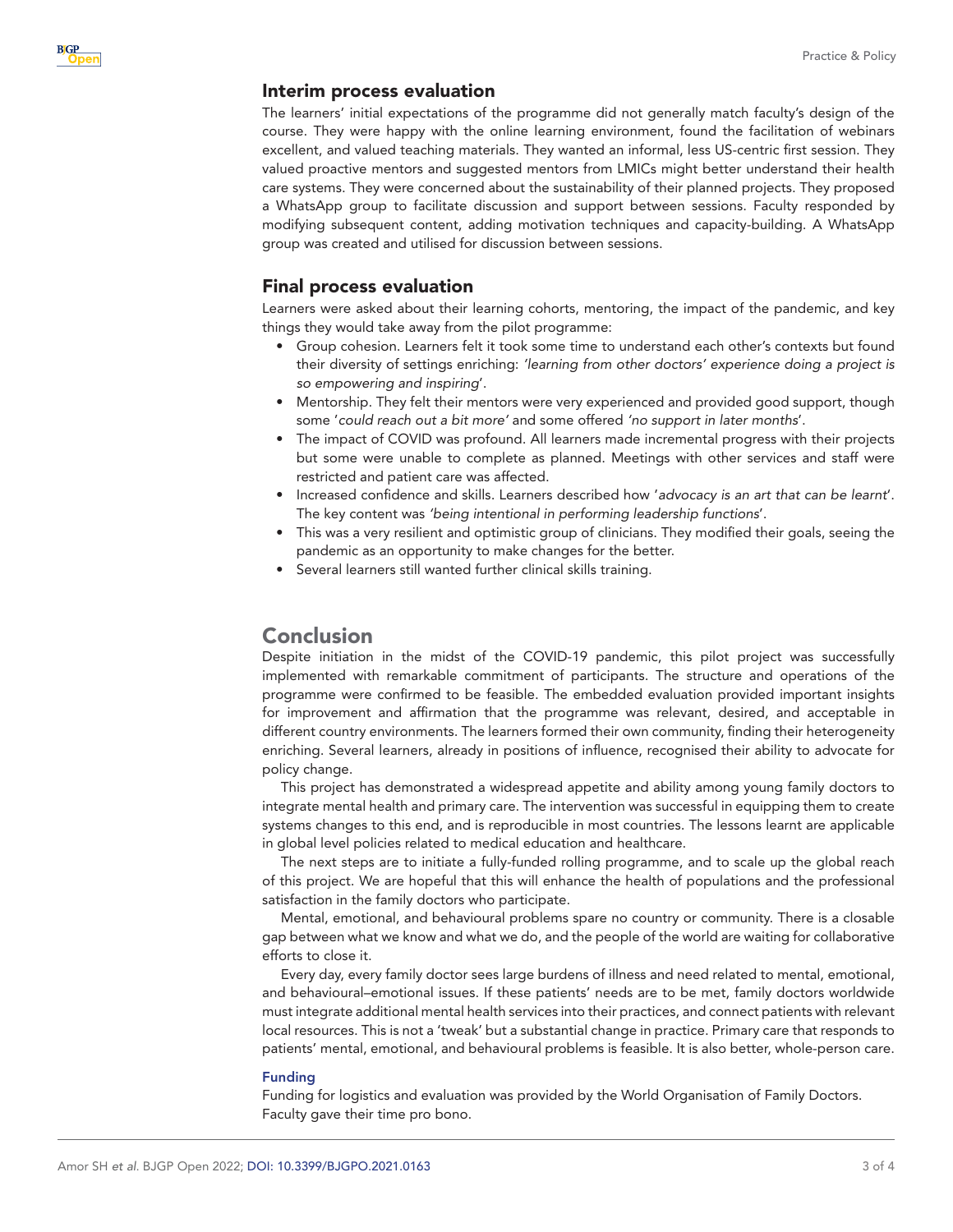### Interim process evaluation

**B**GP

The learners' initial expectations of the programme did not generally match faculty's design of the course. They were happy with the online learning environment, found the facilitation of webinars excellent, and valued teaching materials. They wanted an informal, less US-centric first session. They valued proactive mentors and suggested mentors from LMICs might better understand their health care systems. They were concerned about the sustainability of their planned projects. They proposed a WhatsApp group to facilitate discussion and support between sessions. Faculty responded by modifying subsequent content, adding motivation techniques and capacity-building. A WhatsApp group was created and utilised for discussion between sessions.

## Final process evaluation

Learners were asked about their learning cohorts, mentoring, the impact of the pandemic, and key things they would take away from the pilot programme:

- Group cohesion. Learners felt it took some time to understand each other's contexts but found their diversity of settings enriching: *'learning from other doctors' experience doing a project is so empowering and inspiring*'.
- Mentorship. They felt their mentors were very experienced and provided good support, though some '*could reach out a bit more'* and some offered *'no support in later months*'.
- The impact of COVID was profound. All learners made incremental progress with their projects but some were unable to complete as planned. Meetings with other services and staff were restricted and patient care was affected.
- Increased confidence and skills. Learners described how '*advocacy is an art that can be learnt*'. The key content was *'being intentional in performing leadership functions*'.
- This was a very resilient and optimistic group of clinicians. They modified their goals, seeing the pandemic as an opportunity to make changes for the better.
- Several learners still wanted further clinical skills training.

## Conclusion

Despite initiation in the midst of the COVID-19 pandemic, this pilot project was successfully implemented with remarkable commitment of participants. The structure and operations of the programme were confirmed to be feasible. The embedded evaluation provided important insights for improvement and affirmation that the programme was relevant, desired, and acceptable in different country environments. The learners formed their own community, finding their heterogeneity enriching. Several learners, already in positions of influence, recognised their ability to advocate for policy change.

This project has demonstrated a widespread appetite and ability among young family doctors to integrate mental health and primary care. The intervention was successful in equipping them to create systems changes to this end, and is reproducible in most countries. The lessons learnt are applicable in global level policies related to medical education and healthcare.

The next steps are to initiate a fully-funded rolling programme, and to scale up the global reach of this project. We are hopeful that this will enhance the health of populations and the professional satisfaction in the family doctors who participate.

Mental, emotional, and behavioural problems spare no country or community. There is a closable gap between what we know and what we do, and the people of the world are waiting for collaborative efforts to close it.

Every day, every family doctor sees large burdens of illness and need related to mental, emotional, and behavioural–emotional issues. If these patients' needs are to be met, family doctors worldwide must integrate additional mental health services into their practices, and connect patients with relevant local resources. This is not a 'tweak' but a substantial change in practice. Primary care that responds to patients' mental, emotional, and behavioural problems is feasible. It is also better, whole-person care.

#### Funding

Funding for logistics and evaluation was provided by the World Organisation of Family Doctors. Faculty gave their time pro bono.